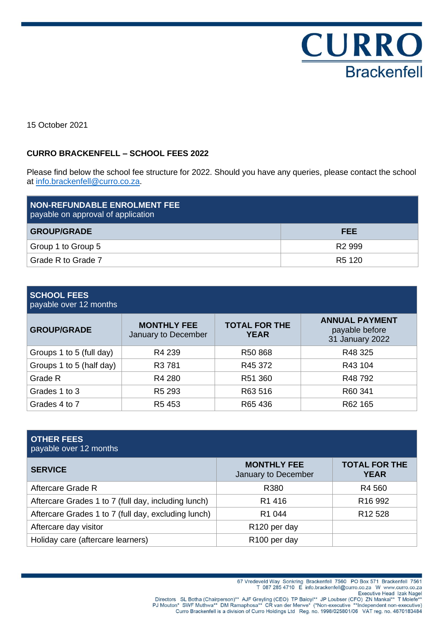

15 October 2021

## **CURRO BRACKENFELL – SCHOOL FEES 2022**

Please find below the school fee structure for 2022. Should you have any queries, please contact the school at [info.brackenfell@curro.co.za.](mailto:info.brackenfell@curro.co.za)

| <b>NON-REFUNDABLE ENROLMENT FEE</b><br>payable on approval of application |                    |
|---------------------------------------------------------------------------|--------------------|
| <b>GROUP/GRADE</b>                                                        | <b>FEE</b>         |
| Group 1 to Group 5                                                        | R <sub>2</sub> 999 |
| Grade R to Grade 7                                                        | R <sub>5</sub> 120 |

## **SCHOOL FEES**

payable over 12 months

| <b>GROUP/GRADE</b>       | <b>MONTHLY FEE</b><br>January to December | <b>TOTAL FOR THE</b><br><b>YEAR</b> | <b>ANNUAL PAYMENT</b><br>payable before<br>31 January 2022 |
|--------------------------|-------------------------------------------|-------------------------------------|------------------------------------------------------------|
| Groups 1 to 5 (full day) | R4 239                                    | R50 868                             | R48 325                                                    |
| Groups 1 to 5 (half day) | R <sub>3</sub> 781                        | R45 372                             | R43 104                                                    |
| Grade R                  | R4 280                                    | R51 360                             | R48 792                                                    |
| Grades 1 to 3            | R <sub>5</sub> 293                        | R63 516                             | R60 341                                                    |
| Grades 4 to 7            | R5453                                     | R65 436                             | R62 165                                                    |

| <b>OTHER FEES</b><br>payable over 12 months         |                                           |                                     |
|-----------------------------------------------------|-------------------------------------------|-------------------------------------|
| <b>SERVICE</b>                                      | <b>MONTHLY FEE</b><br>January to December | <b>TOTAL FOR THE</b><br><b>YEAR</b> |
| Aftercare Grade R                                   | R380                                      | R4 560                              |
| Aftercare Grades 1 to 7 (full day, including lunch) | R <sub>1</sub> 416                        | R <sub>16</sub> 992                 |
| Aftercare Grades 1 to 7 (full day, excluding lunch) | R <sub>1</sub> 044                        | R <sub>12</sub> 528                 |
| Aftercare day visitor                               | R <sub>120</sub> per day                  |                                     |
| Holiday care (aftercare learners)                   | R <sub>100</sub> per day                  |                                     |

67 Vredeveld Way Sonkring Brackenfell 7560 PO Box 571 Brackenfell 7561<br>T 087 285 4710 E info.brackenfell@curro.co.za W www.curro.co.za Directors SL Botha (Chairperson)\*\* AJF Greyling (CEO) TP Baloyi\*\* JP Loubser (Cro.224 Weww.curro.co.24<br>Executive Head Izak Nagel<br>PJ Mouton\* SWF Muthwa\*\* DM Ramaphosa\*\* CR van der Merwe\* (\*Non-executive \*\*Independent non-ex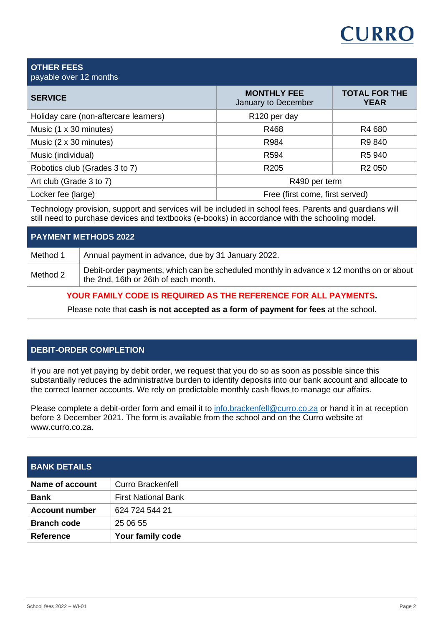# **CURRO**

#### **OTHER FEES** payable over 12 months

| <b>SERVICE</b>                        | <b>MONTHLY FEE</b><br>January to December | <b>TOTAL FOR THE</b><br><b>YEAR</b> |
|---------------------------------------|-------------------------------------------|-------------------------------------|
| Holiday care (non-aftercare learners) | R <sub>120</sub> per day                  |                                     |
| Music (1 x 30 minutes)                | R468                                      | R4 680                              |
| Music (2 x 30 minutes)                | R984                                      | R9 840                              |
| Music (individual)                    | R594                                      | R5 940                              |
| Robotics club (Grades 3 to 7)         | R <sub>205</sub>                          | R <sub>2</sub> 050                  |
| Art club (Grade 3 to 7)               | R490 per term                             |                                     |
| Locker fee (large)                    | Free (first come, first served)           |                                     |

Technology provision, support and services will be included in school fees. Parents and guardians will still need to purchase devices and textbooks (e-books) in accordance with the schooling model.

| <b>PAYMENT METHODS 2022</b> |                                                                                                                                 |
|-----------------------------|---------------------------------------------------------------------------------------------------------------------------------|
| Method 1                    | Annual payment in advance, due by 31 January 2022.                                                                              |
| Method 2                    | Debit-order payments, which can be scheduled monthly in advance x 12 months on or about<br>the 2nd, 16th or 26th of each month. |

# **YOUR FAMILY CODE IS REQUIRED AS THE REFERENCE FOR ALL PAYMENTS.**

Please note that **cash is not accepted as a form of payment for fees** at the school.

# **DEBIT-ORDER COMPLETION**

If you are not yet paying by debit order, we request that you do so as soon as possible since this substantially reduces the administrative burden to identify deposits into our bank account and allocate to the correct learner accounts. We rely on predictable monthly cash flows to manage our affairs.

Please complete a debit-order form and email it to [info.brackenfell@curro.co.za](mailto:info.brackenfell@curro.co.za) or hand it in at reception before 3 December 2021. The form is available from the school and on the Curro website at www.curro.co.za.

| <b>BANK DETAILS</b>    |                            |
|------------------------|----------------------------|
| <b>Name of account</b> | <b>Curro Brackenfell</b>   |
| <b>Bank</b>            | <b>First National Bank</b> |
| <b>Account number</b>  | 624 724 544 21             |
| <b>Branch code</b>     | 25 06 55                   |
| <b>Reference</b>       | Your family code           |